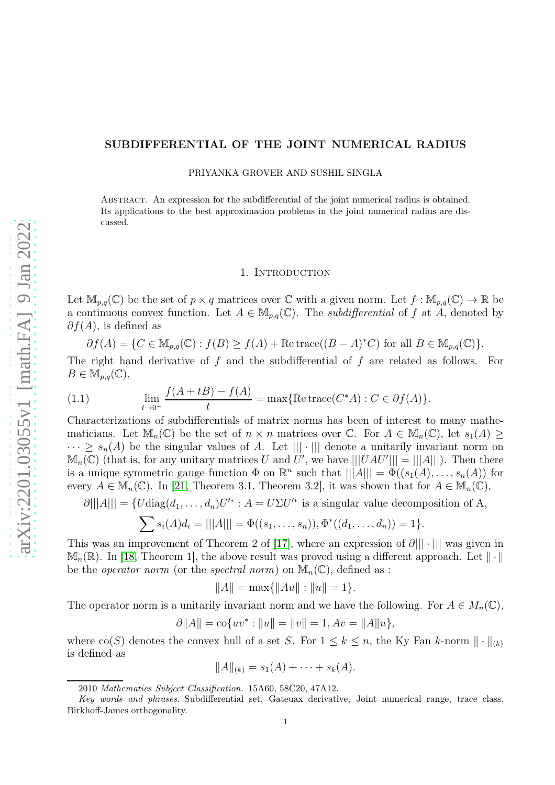### SUBDIFFERENTIAL OF THE JOINT NUMERICAL RADIUS

PRIYANKA GROVER AND SUSHIL SINGLA

Abstract. An expression for the subdifferential of the joint numerical radius is obtained. Its applications to the best approximation problems in the joint numerical radius are discussed.

### 1. INTRODUCTION

Let  $\mathbb{M}_{p,q}(\mathbb{C})$  be the set of  $p \times q$  matrices over  $\mathbb C$  with a given norm. Let  $f : \mathbb{M}_{p,q}(\mathbb{C}) \to \mathbb{R}$  be a continuous convex function. Let  $A \in M_{p,q}(\mathbb{C})$ . The *subdifferential* of f at A, denoted by  $\partial f(A)$ , is defined as

$$
\partial f(A) = \{ C \in M_{p,q}(\mathbb{C}) : f(B) \ge f(A) + \text{Retrace}((B-A)^*C) \text{ for all } B \in M_{p,q}(\mathbb{C}) \}.
$$

The right hand derivative of  $f$  and the subdifferential of  $f$  are related as follows. For  $B \in M_{p,q}(\mathbb{C}),$ 

<span id="page-0-0"></span>(1.1) 
$$
\lim_{t \to 0^+} \frac{f(A + tB) - f(A)}{t} = \max \{ \text{Re trace}(C^*A) : C \in \partial f(A) \}.
$$

Characterizations of subdifferentials of matrix norms has been of interest to many mathematicians. Let  $\mathbb{M}_n(\mathbb{C})$  be the set of  $n \times n$  matrices over  $\mathbb{C}$ . For  $A \in \mathbb{M}_n(\mathbb{C})$ , let  $s_1(A) \geq$  $\cdots \geq s_n(A)$  be the singular values of A. Let  $\| |\cdot| \|$  denote a unitarily invariant norm on  $\mathbb{M}_n(\mathbb{C})$  (that is, for any unitary matrices U and U', we have  $|||UAU'||| = |||A|||$ ). Then there is a unique symmetric gauge function  $\Phi$  on  $\mathbb{R}^n$  such that  $|||A||| = \Phi((s_1(A), \ldots, s_n(A))$  for every  $A \in M_n(\mathbb{C})$ . In [\[21,](#page-7-0) Theorem 3.1, Theorem 3.2], it was shown that for  $A \in M_n(\mathbb{C})$ ,

 $\partial |||A||| = \{U \text{diag}(d_1, \ldots, d_n)U'^* : A = U \Sigma U'^* \text{ is a singular value decomposition of A,}$ 

$$
\sum s_i(A)d_i = |||A||| = \Phi((s_1,\ldots,s_n)), \Phi^*((d_1,\ldots,d_n)) = 1\}.
$$

This was an improvement of Theorem 2 of [\[17\]](#page-7-1), where an expression of  $\partial |||\cdot|||$  was given in  $\mathbb{M}_n(\mathbb{R})$ . In [\[18,](#page-7-2) Theorem 1], the above result was proved using a different approach. Let  $\|\cdot\|$ be the *operator norm* (or the *spectral norm*) on  $\mathbb{M}_{n}(\mathbb{C})$ , defined as :

$$
||A|| = \max{||Au|| : ||u|| = 1}.
$$

The operator norm is a unitarily invariant norm and we have the following. For  $A \in M_n(\mathbb{C})$ ,

$$
\partial ||A|| = \cos\{uv^* : ||u|| = ||v|| = 1, Av = ||A||u\},\
$$

where  $\text{co}(S)$  denotes the convex hull of a set S. For  $1 \leq k \leq n$ , the Ky Fan k-norm  $\|\cdot\|_{(k)}$ is defined as

$$
||A||_{(k)} = s_1(A) + \cdots + s_k(A).
$$

<sup>2010</sup> Mathematics Subject Classification. 15A60, 58C20, 47A12.

Key words and phrases. Subdifferential set, Gateuax derivative, Joint numerical range, trace class, Birkhoff-James orthogonality.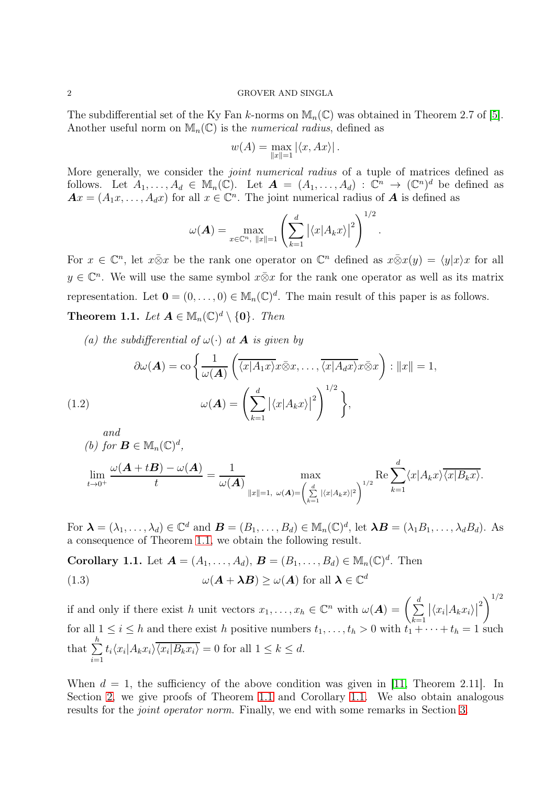#### 2 GROVER AND SINGLA

The subdifferential set of the Ky Fan k-norms on  $\mathbb{M}_{n}(\mathbb{C})$  was obtained in Theorem 2.7 of [\[5\]](#page-6-0). Another useful norm on  $\mathbb{M}_{n}(\mathbb{C})$  is the *numerical radius*, defined as

$$
w(A) = \max_{\|x\|=1} |\langle x, Ax \rangle|.
$$

More generally, we consider the *joint numerical radius* of a tuple of matrices defined as follows. Let  $A_1,\ldots,A_d \in \mathbb{M}_n(\mathbb{C})$ . Let  $\mathbf{A} = (A_1,\ldots,A_d) : \mathbb{C}^n \to (\mathbb{C}^n)^d$  be defined as  $Ax = (A_1x, \ldots, A_dx)$  for all  $x \in \mathbb{C}^n$ . The joint numerical radius of **A** is defined as

$$
\omega(\boldsymbol{A}) = \max_{x \in \mathbb{C}^n, ||x|| = 1} \left( \sum_{k=1}^d \left| \langle x | A_k x \rangle \right|^2 \right)^{1/2}
$$

.

For  $x \in \mathbb{C}^n$ , let  $x \bar{\otimes} x$  be the rank one operator on  $\mathbb{C}^n$  defined as  $x \bar{\otimes} x(y) = \langle y|x \rangle x$  for all  $y \in \mathbb{C}^n$ . We will use the same symbol  $x \bar{\otimes} x$  for the rank one operator as well as its matrix representation. Let  $\mathbf{0} = (0, \ldots, 0) \in \mathbb{M}_n(\mathbb{C})^d$ . The main result of this paper is as follows.

<span id="page-1-0"></span>**Theorem 1.1.** Let  $A \in M_n(\mathbb{C})^d \setminus \{0\}$ . Then

(a) the subdifferential of  $\omega(\cdot)$  at **A** is given by

<span id="page-1-2"></span>(1.2)  
\n
$$
\partial \omega(\mathbf{A}) = \text{co}\left\{\frac{1}{\omega(\mathbf{A})} \left(\overline{\langle x|A_1x\rangle} x \overline{\otimes} x, \dots, \overline{\langle x|A_dx\rangle} x \overline{\otimes} x\right) : ||x|| = 1, \omega(\mathbf{A}) = \left(\sum_{k=1}^d |\langle x|A_kx\rangle|^2\right)^{1/2}\right\},
$$

and

(b) for  $\mathbf{B} \in \mathbb{M}_n(\mathbb{C})^d$ ,

$$
\lim_{t\to 0^+}\frac{\omega(\mathbf{A}+t\mathbf{B})-\omega(\mathbf{A})}{t}=\frac{1}{\omega(\mathbf{A})}\max_{\|x\|=1,\ \omega(\mathbf{A})=\left(\sum\limits_{k=1}^d|\langle x|A_kx\rangle|^2\right)^{1/2}}\text{Re}\sum_{k=1}^d\langle x|A_kx\rangle\overline{\langle x|B_kx\rangle}.
$$

For  $\boldsymbol{\lambda} = (\lambda_1, \dots, \lambda_d) \in \mathbb{C}^d$  and  $\boldsymbol{B} = (B_1, \dots, B_d) \in M_n(\mathbb{C})^d$ , let  $\boldsymbol{\lambda} \boldsymbol{B} = (\lambda_1 B_1, \dots, \lambda_d B_d)$ . As a consequence of Theorem [1.1,](#page-1-0) we obtain the following result.

<span id="page-1-3"></span><span id="page-1-1"></span>**Corollary 1.1.** Let 
$$
\mathbf{A} = (A_1, ..., A_d), \mathbf{B} = (B_1, ..., B_d) \in \mathbb{M}_n(\mathbb{C})^d
$$
. Then  
(1.3) 
$$
\omega(\mathbf{A} + \lambda \mathbf{B}) \ge \omega(\mathbf{A}) \text{ for all } \lambda \in \mathbb{C}^d
$$

if and only if there exist h unit vectors  $x_1, \ldots, x_h \in \mathbb{C}^n$  with  $\omega(\mathbf{A}) = \left(\sum_{i=1}^d a_i, a_i\right)$  $k=1$  $\left| \langle x_i | A_k x_i \rangle \right|$  $\big\}^{1/2}$ for all  $1 \leq i \leq h$  and there exist h positive numbers  $t_1, \ldots, t_h > 0$  with  $t_1 + \cdots + t_h = 1$  such that  $\sum$ h  $i=1$  $t_i \langle x_i | A_k x_i \rangle \langle x_i | B_k x_i \rangle = 0$  for all  $1 \leq k \leq d$ .

When  $d = 1$ , the sufficiency of the above condition was given in [\[11,](#page-7-3) Theorem 2.11]. In Section [2,](#page-2-0) we give proofs of Theorem [1.1](#page-1-0) and Corollary [1.1.](#page-1-1) We also obtain analogous results for the *joint operator norm*. Finally, we end with some remarks in Section [3.](#page-6-1)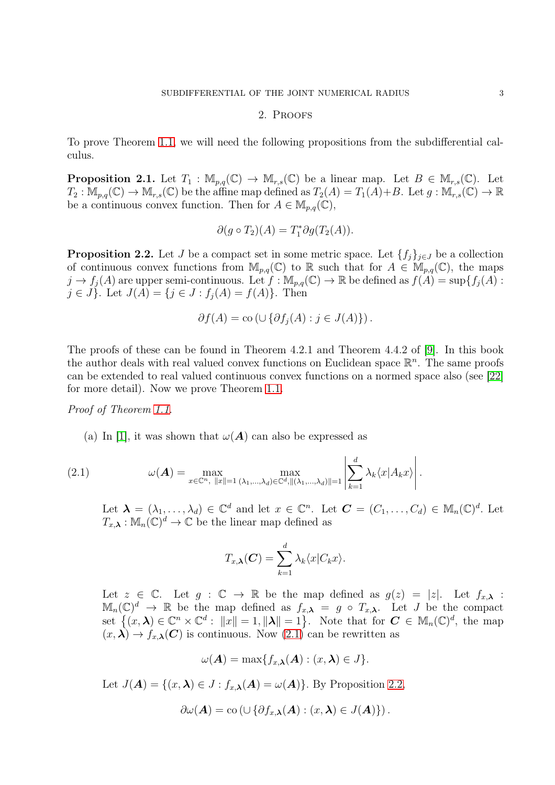# 2. Proofs

<span id="page-2-0"></span>To prove Theorem [1.1,](#page-1-0) we will need the following propositions from the subdifferential calculus.

<span id="page-2-3"></span>**Proposition 2.1.** Let  $T_1 : \mathbb{M}_{p,q}(\mathbb{C}) \to \mathbb{M}_{r,s}(\mathbb{C})$  be a linear map. Let  $B \in \mathbb{M}_{r,s}(\mathbb{C})$ . Let  $T_2: \mathbb{M}_{p,q}(\mathbb{C}) \to \mathbb{M}_{r,s}(\mathbb{C})$  be the affine map defined as  $T_2(A) = T_1(A) + B$ . Let  $g: \mathbb{M}_{r,s}(\mathbb{C}) \to \mathbb{R}$ be a continuous convex function. Then for  $A \in M_{p,q}(\mathbb{C}),$ 

$$
\partial(g \circ T_2)(A) = T_1^* \partial g(T_2(A)).
$$

<span id="page-2-2"></span>**Proposition 2.2.** Let J be a compact set in some metric space. Let  $\{f_i\}_{i\in J}$  be a collection of continuous convex functions from  $\mathbb{M}_{p,q}(\mathbb{C})$  to R such that for  $A \in \mathbb{M}_{p,q}(\mathbb{C})$ , the maps  $j \to f_j(A)$  are upper semi-continuous. Let  $f : \mathbb{M}_{p,q}(\mathbb{C}) \to \mathbb{R}$  be defined as  $f(A) = \sup\{f_j(A) :$  $j \in J$ . Let  $J(A) = \{j \in J : f_j(A) = f(A)\}$ . Then

$$
\partial f(A) = \text{co}(\cup \{\partial f_j(A) : j \in J(A)\}).
$$

The proofs of these can be found in Theorem 4.2.1 and Theorem 4.4.2 of [\[9\]](#page-7-4). In this book the author deals with real valued convex functions on Euclidean space  $\mathbb{R}^n$ . The same proofs can be extended to real valued continuous convex functions on a normed space also (see [\[22\]](#page-7-5) for more detail). Now we prove Theorem [1.1.](#page-1-0)

Proof of Theorem [1.1.](#page-1-0)

(a) In [\[1\]](#page-6-2), it was shown that  $\omega(A)$  can also be expressed as

(2.1) 
$$
\omega(\boldsymbol{A}) = \max_{x \in \mathbb{C}^n, \ \|x\|=1} \max_{(\lambda_1, \dots, \lambda_d) \in \mathbb{C}^d, \|( \lambda_1, \dots, \lambda_d) \|=1} \left| \sum_{k=1}^d \lambda_k \langle x | A_k x \rangle \right|.
$$

<span id="page-2-1"></span>Let  $\boldsymbol{\lambda} = (\lambda_1, \ldots, \lambda_d) \in \mathbb{C}^d$  and let  $x \in \mathbb{C}^n$ . Let  $\boldsymbol{C} = (C_1, \ldots, C_d) \in \mathbb{M}_n(\mathbb{C})^d$ . Let  $T_{x,\lambda}: \mathbb{M}_n(\mathbb{C})^d \to \mathbb{C}$  be the linear map defined as

$$
T_{x,\boldsymbol{\lambda}}(\boldsymbol{C})=\sum_{k=1}^d\lambda_k\langle x|C_kx\rangle.
$$

Let  $z \in \mathbb{C}$ . Let  $g : \mathbb{C} \to \mathbb{R}$  be the map defined as  $g(z) = |z|$ . Let  $f_{x,\lambda}$ :  $\mathbb{M}_n(\mathbb{C})^d \to \mathbb{R}$  be the map defined as  $f_{x,\lambda} = g \circ T_{x,\lambda}$ . Let J be the compact set  $\{(x,\lambda)\in\mathbb{C}^n\times\mathbb{C}^d:\ \|x\|=1,\|\lambda\|=1\}$ . Note that for  $C\in\mathbb{M}_n(\mathbb{C})^d$ , the map  $(x, \lambda) \rightarrow f_{x,\lambda}(C)$  is continuous. Now  $(2.1)$  can be rewritten as

$$
\omega(\mathbf{A}) = \max\{f_{x,\lambda}(\mathbf{A}) : (x,\lambda) \in J\}.
$$

Let  $J(\mathbf{A}) = \{(x, \lambda) \in J : f_{x,\lambda}(\mathbf{A}) = \omega(\mathbf{A})\}$ . By Proposition [2.2,](#page-2-2)

$$
\partial \omega(\mathbf{A}) = \text{co}(\cup \{\partial f_{x,\boldsymbol{\lambda}}(\mathbf{A}) : (x,\boldsymbol{\lambda}) \in J(\mathbf{A})\}).
$$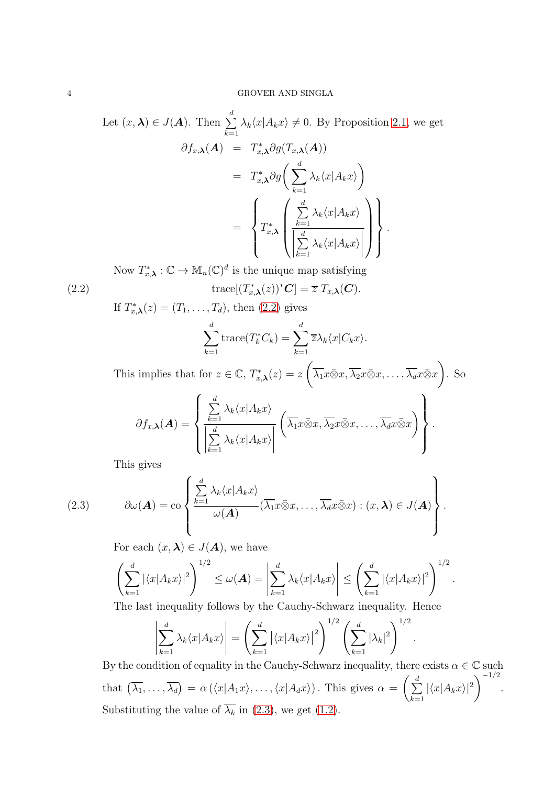Let 
$$
(x, \lambda) \in J(\mathbf{A})
$$
. Then  $\sum_{k=1}^{d} \lambda_k \langle x | A_k x \rangle \neq 0$ . By Proposition 2.1, we get  
\n
$$
\partial f_{x,\lambda}(\mathbf{A}) = T_{x,\lambda}^* \partial g(T_{x,\lambda}(\mathbf{A}))
$$
\n
$$
= T_{x,\lambda}^* \partial g \left( \sum_{k=1}^{d} \lambda_k \langle x | A_k x \rangle \right)
$$
\n
$$
= \left\{ T_{x,\lambda}^* \left( \frac{\sum_{k=1}^{d} \lambda_k \langle x | A_k x \rangle}{\left| \sum_{k=1}^{d} \lambda_k \langle x | A_k x \rangle \right|} \right) \right\}.
$$

Now  $T_{x,\lambda}^* : \mathbb{C} \to \mathbb{M}_n(\mathbb{C})^d$  is the unique map satisfying

(2.2) 
$$
\operatorname{trace}[(T_{x,\lambda}^*(z))^* \mathbf{C}] = \overline{z} T_{x,\lambda}(\mathbf{C}).
$$

If  $T_{x,\lambda}^*(z) = (T_1, ..., T_d)$ , then  $(2.2)$  gives

<span id="page-3-0"></span>
$$
\sum_{k=1}^{d} \operatorname{trace}(T_{k}^{*}C_{k}) = \sum_{k=1}^{d} \overline{z} \lambda_{k} \langle x | C_{k} x \rangle.
$$

This implies that for  $z \in \mathbb{C}$ ,  $T_{x,\lambda}^*(z) = z$  $\left(\overline{\lambda_1}x\overline{\otimes} x,\overline{\lambda_2}x\overline{\otimes} x,\ldots,\overline{\lambda_d}x\overline{\otimes} x\right)$ . So

$$
\partial f_{x,\boldsymbol{\lambda}}(\boldsymbol{A}) = \left\{ \frac{\sum\limits_{k=1}^d \lambda_k \langle x | A_k x \rangle}{\left| \sum\limits_{k=1}^d \lambda_k \langle x | A_k x \rangle \right|} \left( \overline{\lambda_1} x \overline{\otimes} x, \overline{\lambda_2} x \overline{\otimes} x, \dots, \overline{\lambda_d} x \overline{\otimes} x \right) \right\}.
$$

<span id="page-3-1"></span>This gives

3) 
$$
\partial \omega(\mathbf{A}) = \text{co}\left\{\frac{\sum_{k=1}^{d} \lambda_k \langle x | A_k x \rangle}{\omega(\mathbf{A})} (\overline{\lambda_1} x \overline{\otimes} x, \dots, \overline{\lambda_d} x \overline{\otimes} x) : (x, \lambda) \in J(\mathbf{A})\right\}.
$$

 $(2.3)$ 

For each  $(x, \lambda) \in J(A)$ , we have

$$
\left(\sum_{k=1}^d |\langle x|A_k x\rangle|^2\right)^{1/2} \le \omega(\boldsymbol{A}) = \left|\sum_{k=1}^d \lambda_k \langle x|A_k x\rangle\right| \le \left(\sum_{k=1}^d |\langle x|A_k x\rangle|^2\right)^{1/2}.
$$

The last inequality follows by the Cauchy-Schwarz inequality. Hence

$$
\left| \sum_{k=1}^{d} \lambda_k \langle x | A_k x \rangle \right| = \left( \sum_{k=1}^{d} |\langle x | A_k x \rangle|^2 \right)^{1/2} \left( \sum_{k=1}^{d} |\lambda_k|^2 \right)^{1/2}
$$

By the condition of equality in the Cauchy-Schwarz inequality, there exists  $\alpha \in \mathbb{C}$  such that  $(\overline{\lambda_1}, \ldots, \overline{\lambda_d}) = \alpha (\langle x | A_1 x \rangle, \ldots, \langle x | A_d x \rangle)$ . This gives  $\alpha = \left( \sum_{i=1}^d x_i, \ldots, \sum_{i=1}^d x_i \right)$  $_{k=1}$  $|\langle x|A_kx\rangle|^2$  $\sqrt{\frac{-1}{2}}$ . Substituting the value of  $\overline{\lambda_k}$  in [\(2.3\)](#page-3-1), we get [\(1.2\)](#page-1-2).

.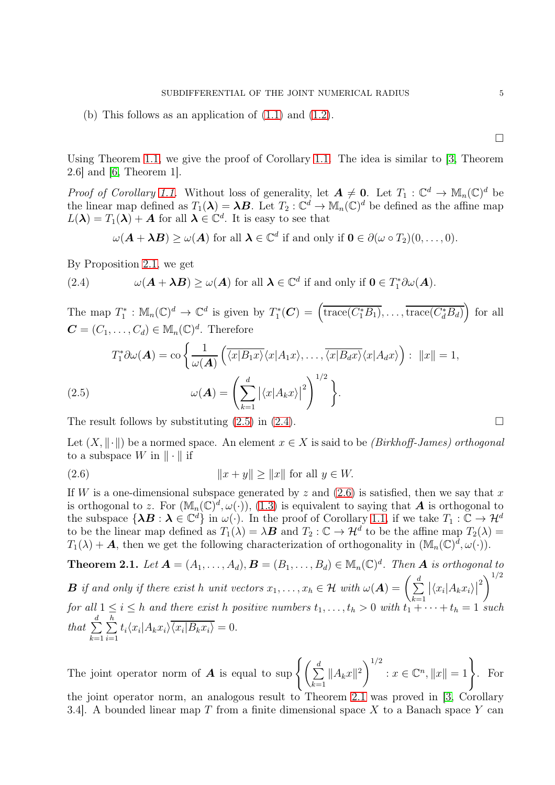(b) This follows as an application of  $(1.1)$  and  $(1.2)$ .

Using Theorem [1.1,](#page-1-0) we give the proof of Corollary [1.1.](#page-1-1) The idea is similar to [\[3,](#page-6-3) Theorem 2.6] and [\[6,](#page-6-4) Theorem 1].

*Proof of Corollary [1.1.](#page-1-1)* Without loss of generality, let  $A \neq 0$ . Let  $T_1 : \mathbb{C}^d \to \mathbb{M}_n(\mathbb{C})^d$  be the linear map defined as  $T_1(\lambda) = \lambda B$ . Let  $T_2$ :  $\mathbb{C}^d \to \mathbb{M}_n(\mathbb{C})^d$  be defined as the affine map  $L(\lambda) = T_1(\lambda) + A$  for all  $\lambda \in \mathbb{C}^d$ . It is easy to see that

<span id="page-4-1"></span> $\omega(\mathbf{A} + \lambda \mathbf{B}) \geq \omega(\mathbf{A})$  for all  $\boldsymbol{\lambda} \in \mathbb{C}^d$  if and only if  $\mathbf{0} \in \partial(\omega \circ T_2)(0, \dots, 0)$ .

By Proposition [2.1,](#page-2-3) we get

(2.4) 
$$
\omega(\mathbf{A} + \lambda \mathbf{B}) \ge \omega(\mathbf{A}) \text{ for all } \lambda \in \mathbb{C}^d \text{ if and only if } 0 \in T_1^* \partial \omega(\mathbf{A}).
$$

The map  $T_1^* : \mathbb{M}_n(\mathbb{C})^d \to \mathbb{C}^d$  is given by  $T_1^*(\mathbf{C}) = \left(\overline{\text{trace}(C_1^*B_1)}, \ldots, \overline{\text{trace}(C_d^*B_d)}\right)$  for all  $\mathbf{C} = (C_1, \ldots, C_d) \in \mathbb{M}_n(\mathbb{C})^d$ . Therefore

$$
T_1^* \partial \omega(\mathbf{A}) = \text{co}\left\{ \frac{1}{\omega(\mathbf{A})} \left( \overline{\langle x|B_1 x \rangle} \langle x|A_1 x \rangle, \dots, \overline{\langle x|B_d x \rangle} \langle x|A_d x \rangle \right) : \ \|x\| = 1,
$$
\n
$$
\omega(\mathbf{A}) = \left( \sum_{k=1}^d \left| \langle x|A_k x \rangle \right|^2 \right)^{1/2}.
$$
\n(2.5)

<span id="page-4-0"></span>The result follows by substituting  $(2.5)$  in  $(2.4)$ .

Let  $(X, \|\cdot\|)$  be a normed space. An element  $x \in X$  is said to be *(Birkhoff-James) orthogonal* to a subspace  $W$  in  $\|\cdot\|$  if

<span id="page-4-2"></span>
$$
(2.6) \t\t\t ||x+y|| \ge ||x|| \tfor all y \in W.
$$

If W is a one-dimensional subspace generated by z and  $(2.6)$  is satisfied, then we say that x is orthogonal to z. For  $(\mathbb{M}_n(\mathbb{C})^d, \omega(\cdot))$ , [\(1.3\)](#page-1-3) is equivalent to saying that **A** is orthogonal to the subspace  $\{\lambda B : \lambda \in \mathbb{C}^d\}$  in  $\omega(\cdot)$ . In the proof of Corollary [1.1,](#page-1-1) if we take  $T_1 : \mathbb{C} \to \mathcal{H}^d$ to be the linear map defined as  $T_1(\lambda) = \lambda \mathbf{B}$  and  $T_2 : \mathbb{C} \to \mathcal{H}^d$  to be the affine map  $T_2(\lambda) =$  $T_1(\lambda) + A$ , then we get the following characterization of orthogonality in  $(\mathbb{M}_n(\mathbb{C})^d, \omega(\cdot)).$ 

<span id="page-4-3"></span>**Theorem 2.1.** Let  $A = (A_1, \ldots, A_d), B = (B_1, \ldots, B_d) \in M_n(\mathbb{C})^d$ . Then A is orthogonal to **B** if and only if there exist h unit vectors  $x_1, \ldots, x_h \in \mathcal{H}$  with  $\omega(\mathbf{A}) = \Big(\sum_{i=1}^d A_i\mathbf{A}_i$  $k=1$  $\left| \langle x_i | A_k x_i \rangle \right|$  $_2\bigwedge^{1/2}$ for all  $1 \leq i \leq h$  and there exist h positive numbers  $t_1, \ldots, t_h > 0$  with  $t_1 + \cdots + t_h = 1$  such that  $\sum$ d  $k=1$  $\sum$ h  $i=1$  $t_i \langle x_i | A_k x_i \rangle \langle x_i | B_k x_i \rangle = 0.$ 

The joint operator norm of **A** is equal to sup  $\left\{ \left( \sum_{i=1}^{d} a_i \right)$  $_{k=1}$  $||A_kx||^2\bigg)^{1/2}$  $x \in \mathbb{C}^n, ||x|| = 1$ . For the joint operator norm, an analogous result to Theorem [2.1](#page-4-3) was proved in [\[3,](#page-6-3) Corollary 3.4. A bounded linear map  $T$  from a finite dimensional space  $X$  to a Banach space  $Y$  can

 $\Box$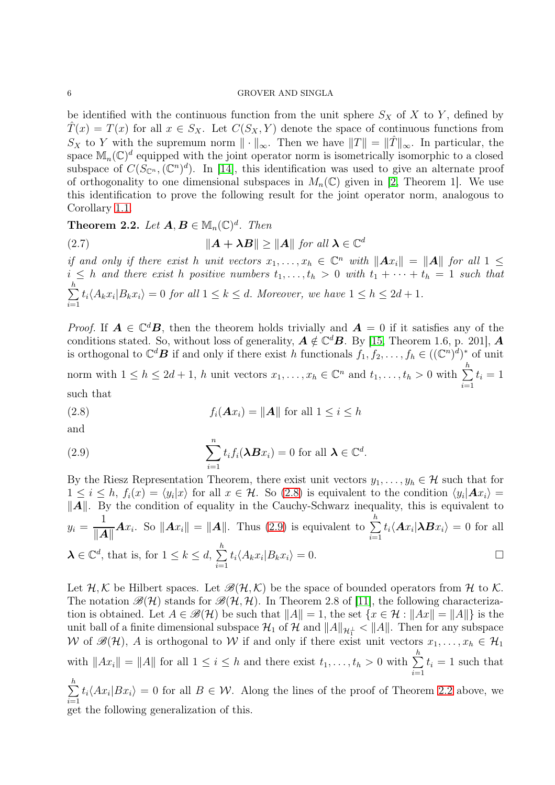### 6 GROVER AND SINGLA

be identified with the continuous function from the unit sphere  $S_X$  of X to Y, defined by  $\hat{T}(x) = T(x)$  for all  $x \in S_X$ . Let  $C(S_X, Y)$  denote the space of continuous functions from  $S_X$  to Y with the supremum norm  $\|\cdot\|_{\infty}$ . Then we have  $||T|| = ||T||_{\infty}$ . In particular, the space  $\mathbb{M}_n(\mathbb{C})^d$  equipped with the joint operator norm is isometrically isomorphic to a closed subspace of  $C(S_{\mathbb{C}^n},(\mathbb{C}^n)^d)$ . In [\[14\]](#page-7-6), this identification was used to give an alternate proof of orthogonality to one dimensional subspaces in  $M_n(\mathbb{C})$  given in [\[2,](#page-6-5) Theorem 1]. We use this identification to prove the following result for the joint operator norm, analogous to Corollary [1.1.](#page-1-1)

<span id="page-5-2"></span>**Theorem 2.2.** Let  $A, B \in M_n(\mathbb{C})^d$ . Then

(2.7)  $\|A + \lambda B\| \ge \|A\|$  for all  $\lambda \in \mathbb{C}^d$ 

if and only if there exist h unit vectors  $x_1, \ldots, x_h \in \mathbb{C}^n$  with  $||Ax_i|| = ||A||$  for all  $1 \leq$  $i \leq h$  and there exist h positive numbers  $t_1, \ldots, t_h > 0$  with  $t_1 + \cdots + t_h = 1$  such that  $\sum$ h  $i=1$  $t_i \langle A_k x_i | B_k x_i \rangle = 0$  for all  $1 \leq k \leq d$ . Moreover, we have  $1 \leq h \leq 2d+1$ .

*Proof.* If  $A \in \mathbb{C}^d$ , then the theorem holds trivially and  $A = 0$  if it satisfies any of the conditions stated. So, without loss of generality,  $\mathbf{A} \notin \mathbb{C}^d\mathbf{B}$ . By [\[15,](#page-7-7) Theorem 1.6, p. 201],  $\mathbf{A}$ is orthogonal to  $\mathbb{C}^d$ **B** if and only if there exist h functionals  $f_1, f_2, \ldots, f_h \in ((\mathbb{C}^n)^d)^*$  of unit norm with  $1 \leq h \leq 2d+1$ , h unit vectors  $x_1, \ldots, x_h \in \mathbb{C}^n$  and  $t_1, \ldots, t_h > 0$  with  $\sum^h$  $i=1$  $t_i=1$ such that

<span id="page-5-0"></span>(2.8) 
$$
f_i(\mathbf{A}x_i) = ||\mathbf{A}|| \text{ for all } 1 \leq i \leq h
$$

and

<span id="page-5-1"></span>(2.9) 
$$
\sum_{i=1}^{n} t_i f_i(\lambda \mathbf{B} x_i) = 0 \text{ for all } \lambda \in \mathbb{C}^d.
$$

By the Riesz Representation Theorem, there exist unit vectors  $y_1, \ldots, y_h \in \mathcal{H}$  such that for  $1 \leq i \leq h$ ,  $f_i(x) = \langle y_i | x \rangle$  for all  $x \in \mathcal{H}$ . So [\(2.8\)](#page-5-0) is equivalent to the condition  $\langle y_i | Ax_i \rangle =$  $\|\vec{A}\|$ . By the condition of equality in the Cauchy-Schwarz inequality, this is equivalent to  $y_i =$ 1  $\frac{1}{\|A\|}Ax_i$ . So  $\|Ax_i\| = \|A\|$ . Thus [\(2.9\)](#page-5-1) is equivalent to  $\sum_{i=1}^h$  $i=1$  $t_i \langle Ax_i | \lambda Bx_i \rangle = 0$  for all  $\boldsymbol{\lambda} \in \mathbb{C}^d$ , that is, for  $1 \leq k \leq d$ ,  $\sum$ h  $i=1$  $t_i \langle A_k x_i | B_k x_i \rangle = 0.$ 

Let  $\mathcal{H}, \mathcal{K}$  be Hilbert spaces. Let  $\mathscr{B}(\mathcal{H}, \mathcal{K})$  be the space of bounded operators from  $\mathcal{H}$  to  $\mathcal{K}$ . The notation  $\mathscr{B}(H)$  stands for  $\mathscr{B}(H, H)$ . In Theorem 2.8 of [\[11\]](#page-7-3), the following characterization is obtained. Let  $A \in \mathcal{B}(\mathcal{H})$  be such that  $||A|| = 1$ , the set  $\{x \in \mathcal{H} : ||Ax|| = ||A||\}$  is the unit ball of a finite dimensional subspace  $\mathcal{H}_1$  of  $\mathcal{H}$  and  $\|A\|_{\mathcal{H}_1^\perp} < \|A\|$ . Then for any subspace W of  $\mathscr{B}(H)$ , A is orthogonal to W if and only if there exist unit vectors  $x_1, \ldots, x_h \in \mathcal{H}_1$ with  $||Ax_i|| = ||A||$  for all  $1 \leq i \leq h$  and there exist  $t_1, \ldots, t_h > 0$  with  $\sum$ h  $i=1$  $t_i = 1$  such that  $\sum$ h  $i=1$  $t_i \langle Ax_i| Bx_i \rangle = 0$  for all  $B \in \mathcal{W}$ . Along the lines of the proof of Theorem [2.2](#page-5-2) above, we get the following generalization of this.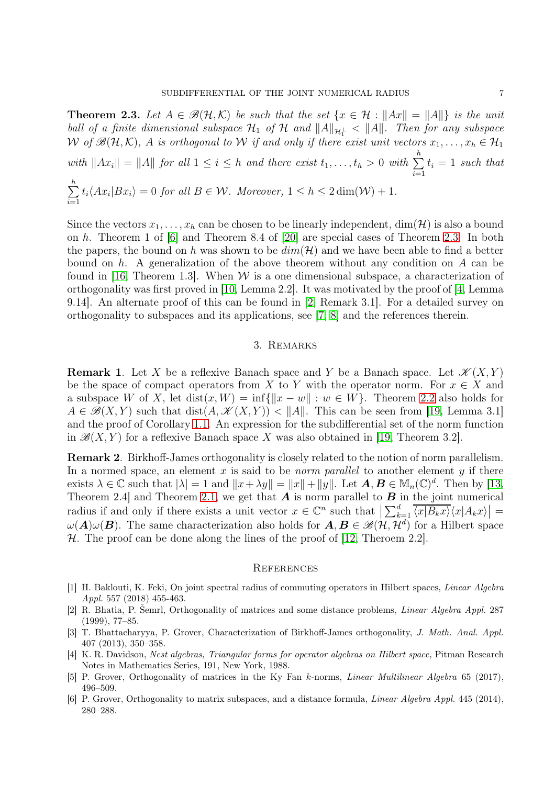<span id="page-6-6"></span>**Theorem 2.3.** Let  $A \in \mathcal{B}(\mathcal{H}, \mathcal{K})$  be such that the set  $\{x \in \mathcal{H} : \|Ax\| = \|A\|\}$  is the unit ball of a finite dimensional subspace  $\mathcal{H}_1$  of  $\mathcal{H}$  and  $||A||_{\mathcal{H}_1^{\perp}} < ||A||$ . Then for any subspace W of  $\mathscr{B}(\mathcal{H},\mathcal{K})$ , A is orthogonal to W if and only if there exist unit vectors  $x_1,\ldots,x_h\in\mathcal{H}_1$ with  $||Ax_i|| = ||A||$  for all  $1 \leq i \leq h$  and there exist  $t_1, \ldots, t_h > 0$  with  $\sum$ h  $i=1$  $t_i = 1$  such that  $\sum$ h  $i=1$  $t_i \langle Ax_i| Bx_i\rangle = 0$  for all  $B \in \mathcal{W}$ . Moreover,  $1 \leq h \leq 2 \dim(\mathcal{W}) + 1$ .

Since the vectors  $x_1, \ldots, x_h$  can be chosen to be linearly independent,  $\dim(\mathcal{H})$  is also a bound on h. Theorem 1 of [\[6\]](#page-6-4) and Theorem 8.4 of [\[20\]](#page-7-8) are special cases of Theorem [2.3.](#page-6-6) In both the papers, the bound on h was shown to be  $dim(\mathcal{H})$  and we have been able to find a better bound on h. A generalization of the above theorem without any condition on A can be found in [\[16,](#page-7-9) Theorem 1.3]. When  $W$  is a one dimensional subspace, a characterization of orthogonality was first proved in [\[10,](#page-7-10) Lemma 2.2]. It was motivated by the proof of [\[4,](#page-6-7) Lemma 9.14]. An alternate proof of this can be found in [\[2,](#page-6-5) Remark 3.1]. For a detailed survey on orthogonality to subspaces and its applications, see [\[7,](#page-7-11) [8\]](#page-7-12) and the references therein.

## 3. Remarks

<span id="page-6-1"></span>**Remark 1.** Let X be a reflexive Banach space and Y be a Banach space. Let  $\mathcal{K}(X, Y)$ be the space of compact operators from X to Y with the operator norm. For  $x \in X$  and a subspace W of X, let  $dist(x, W) = inf{||x - w|| : w \in W}$ . Theorem [2.2](#page-5-2) also holds for  $A \in \mathscr{B}(X, Y)$  such that  $dist(A, \mathscr{K}(X, Y)) < ||A||$ . This can be seen from [\[19,](#page-7-13) Lemma 3.1] and the proof of Corollary [1.1.](#page-1-1) An expression for the subdifferential set of the norm function in  $\mathcal{B}(X, Y)$  for a reflexive Banach space X was also obtained in [\[19,](#page-7-13) Theorem 3.2].

Remark 2. Birkhoff-James orthogonality is closely related to the notion of norm parallelism. In a normed space, an element x is said to be *norm parallel* to another element y if there exists  $\lambda \in \mathbb{C}$  such that  $|\lambda| = 1$  and  $||x + \lambda y|| = ||x|| + ||y||$ . Let  $\mathbf{A}, \mathbf{B} \in M_n(\mathbb{C})^d$ . Then by [\[13,](#page-7-14) Theorem 2.4] and Theorem [2.1,](#page-4-3) we get that  $\vec{A}$  is norm parallel to  $\vec{B}$  in the joint numerical radius if and only if there exists a unit vector  $x \in \mathbb{C}^n$  such that  $\left|\sum_{k=1}^d \overline{\langle x|B_kx\rangle}\langle x|A_kx\rangle\right|$  $\omega(A)\omega(B)$ . The same characterization also holds for  $A, B \in \mathscr{B}(\mathcal{H}, \mathcal{H}^d)$  for a Hilbert space  $H$ . The proof can be done along the lines of the proof of [\[12,](#page-7-15) Theroem 2.2].

## **REFERENCES**

- <span id="page-6-2"></span>[1] H. Baklouti, K. Feki, On joint spectral radius of commuting operators in Hilbert spaces, Linear Algebra Appl. 557 (2018) 455-463.
- <span id="page-6-5"></span>[2] R. Bhatia, P. Šemrl, Orthogonality of matrices and some distance problems, Linear Algebra Appl. 287 (1999), 77–85.
- <span id="page-6-3"></span>[3] T. Bhattacharyya, P. Grover, Characterization of Birkhoff-James orthogonality, J. Math. Anal. Appl. 407 (2013), 350–358.
- <span id="page-6-7"></span>[4] K. R. Davidson, Nest algebras, Triangular forms for operator algebras on Hilbert space, Pitman Research Notes in Mathematics Series, 191, New York, 1988.
- <span id="page-6-4"></span><span id="page-6-0"></span>[5] P. Grover, Orthogonality of matrices in the Ky Fan k-norms, Linear Multilinear Algebra 65 (2017), 496–509.
- [6] P. Grover, Orthogonality to matrix subspaces, and a distance formula, Linear Algebra Appl. 445 (2014), 280–288.